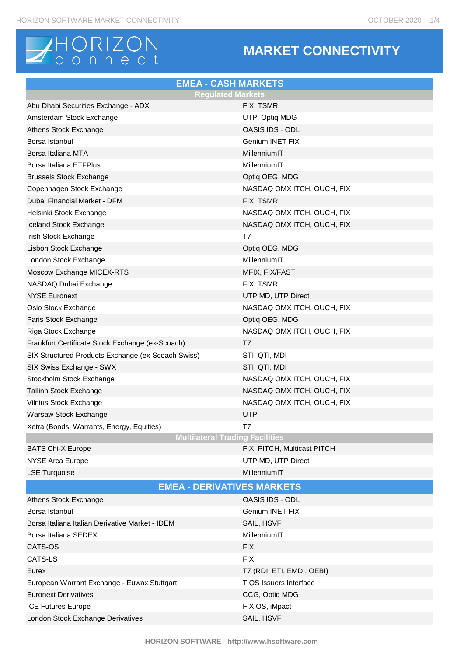# HORIZON<br>Connect

### **MARKET CONNECTIVITY**

| <b>EMEA - CASH MARKETS</b>                         |                               |  |  |
|----------------------------------------------------|-------------------------------|--|--|
| <b>Regulated Markets</b>                           |                               |  |  |
| Abu Dhabi Securities Exchange - ADX                | FIX, TSMR                     |  |  |
| Amsterdam Stock Exchange                           | UTP, Optiq MDG                |  |  |
| Athens Stock Exchange                              | OASIS IDS - ODL               |  |  |
| Borsa Istanbul                                     | Genium INET FIX               |  |  |
| Borsa Italiana MTA                                 | MillenniumIT                  |  |  |
| Borsa Italiana ETFPlus                             | MillenniumIT                  |  |  |
| <b>Brussels Stock Exchange</b>                     | Optiq OEG, MDG                |  |  |
| Copenhagen Stock Exchange                          | NASDAQ OMX ITCH, OUCH, FIX    |  |  |
| Dubai Financial Market - DFM                       | FIX, TSMR                     |  |  |
| Helsinki Stock Exchange                            | NASDAQ OMX ITCH, OUCH, FIX    |  |  |
| Iceland Stock Exchange                             | NASDAQ OMX ITCH, OUCH, FIX    |  |  |
| Irish Stock Exchange                               | Τ7                            |  |  |
| Lisbon Stock Exchange                              | Optiq OEG, MDG                |  |  |
| London Stock Exchange                              | MillenniumIT                  |  |  |
| Moscow Exchange MICEX-RTS                          | MFIX, FIX/FAST                |  |  |
| NASDAQ Dubai Exchange                              | FIX, TSMR                     |  |  |
| <b>NYSE Euronext</b>                               | UTP MD, UTP Direct            |  |  |
| Oslo Stock Exchange                                | NASDAQ OMX ITCH, OUCH, FIX    |  |  |
| Paris Stock Exchange                               | Optiq OEG, MDG                |  |  |
| Riga Stock Exchange                                | NASDAQ OMX ITCH, OUCH, FIX    |  |  |
| Frankfurt Certificate Stock Exchange (ex-Scoach)   | T7                            |  |  |
| SIX Structured Products Exchange (ex-Scoach Swiss) | STI, QTI, MDI                 |  |  |
| SIX Swiss Exchange - SWX                           | STI, QTI, MDI                 |  |  |
| Stockholm Stock Exchange                           | NASDAQ OMX ITCH, OUCH, FIX    |  |  |
| <b>Tallinn Stock Exchange</b>                      | NASDAQ OMX ITCH, OUCH, FIX    |  |  |
| Vilnius Stock Exchange                             | NASDAQ OMX ITCH, OUCH, FIX    |  |  |
| Warsaw Stock Exchange                              | <b>UTP</b>                    |  |  |
| Xetra (Bonds, Warrants, Energy, Equities)          | T7                            |  |  |
| <b>Multilateral Trading Facilities</b>             |                               |  |  |
| <b>BATS Chi-X Europe</b>                           | FIX, PITCH, Multicast PITCH   |  |  |
| <b>NYSE Arca Europe</b>                            | UTP MD, UTP Direct            |  |  |
| <b>LSE Turquoise</b>                               | MillenniumIT                  |  |  |
| <b>EMEA - DERIVATIVES MARKETS</b>                  |                               |  |  |
| Athens Stock Exchange                              | OASIS IDS - ODL               |  |  |
| Borsa Istanbul                                     | Genium INET FIX               |  |  |
| Borsa Italiana Italian Derivative Market - IDEM    | SAIL, HSVF                    |  |  |
| Borsa Italiana SEDEX                               | MillenniumIT                  |  |  |
| CATS-OS                                            | <b>FIX</b>                    |  |  |
| CATS-LS                                            | <b>FIX</b>                    |  |  |
| Eurex                                              | T7 (RDI, ETI, EMDI, OEBI)     |  |  |
| European Warrant Exchange - Euwax Stuttgart        | <b>TIQS Issuers Interface</b> |  |  |
| <b>Euronext Derivatives</b>                        | CCG, Optiq MDG                |  |  |
| <b>ICE Futures Europe</b>                          | FIX OS, iMpact                |  |  |
| London Stock Exchange Derivatives                  | SAIL, HSVF                    |  |  |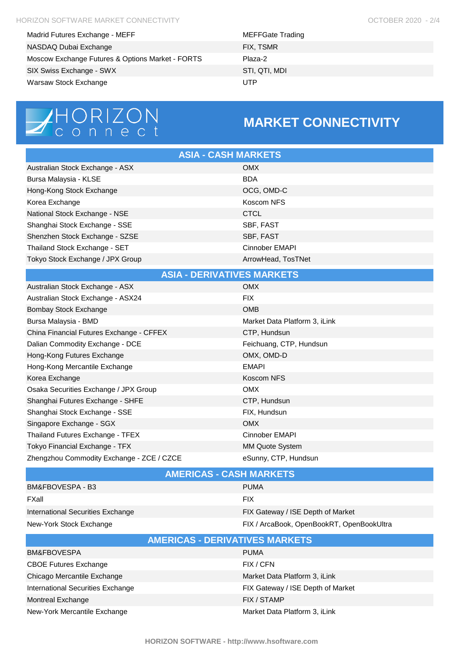| Madrid Futures Exchange - MEFF                   | MEFFG   |
|--------------------------------------------------|---------|
| NASDAQ Dubai Exchange                            | FIX, TS |
| Moscow Exchange Futures & Options Market - FORTS | Plaza-2 |
| SIX Swiss Exchange - SWX                         | STI. QT |
| Warsaw Stock Exchange                            | UTP     |



### MEFFGate Trading FIX, TSMR STI, QTI, MDI

#### **MARKET CONNECTIVITY**

| <b>ASIA - CASH MARKETS</b>                |                               |  |  |
|-------------------------------------------|-------------------------------|--|--|
| Australian Stock Exchange - ASX           | <b>OMX</b>                    |  |  |
| Bursa Malaysia - KLSE                     | <b>BDA</b>                    |  |  |
| Hong-Kong Stock Exchange                  | OCG, OMD-C                    |  |  |
| Korea Exchange                            | Koscom NFS                    |  |  |
| National Stock Exchange - NSE             | <b>CTCL</b>                   |  |  |
| Shanghai Stock Exchange - SSE             | SBF, FAST                     |  |  |
| Shenzhen Stock Exchange - SZSE            | SBF, FAST                     |  |  |
| Thailand Stock Exchange - SET             | Cinnober EMAPI                |  |  |
| Tokyo Stock Exchange / JPX Group          | ArrowHead, TosTNet            |  |  |
| <b>ASIA - DERIVATIVES MARKETS</b>         |                               |  |  |
| Australian Stock Exchange - ASX           | <b>OMX</b>                    |  |  |
| Australian Stock Exchange - ASX24         | <b>FIX</b>                    |  |  |
| <b>Bombay Stock Exchange</b>              | <b>OMB</b>                    |  |  |
| Bursa Malaysia - BMD                      | Market Data Platform 3, iLink |  |  |
| China Financial Futures Exchange - CFFEX  | CTP, Hundsun                  |  |  |
| Dalian Commodity Exchange - DCE           | Feichuang, CTP, Hundsun       |  |  |
| Hong-Kong Futures Exchange                | OMX, OMD-D                    |  |  |
| Hong-Kong Mercantile Exchange             | <b>EMAPI</b>                  |  |  |
| Korea Exchange                            | Koscom NFS                    |  |  |
| Osaka Securities Exchange / JPX Group     | <b>OMX</b>                    |  |  |
| Shanghai Futures Exchange - SHFE          | CTP, Hundsun                  |  |  |
| Shanghai Stock Exchange - SSE             | FIX, Hundsun                  |  |  |
| Singapore Exchange - SGX                  | <b>OMX</b>                    |  |  |
| Thailand Futures Exchange - TFEX          | Cinnober EMAPI                |  |  |
| Tokyo Financial Exchange - TFX            | MM Quote System               |  |  |
| Zhengzhou Commodity Exchange - ZCE / CZCE | eSunny, CTP, Hundsun          |  |  |

| <b>AMERICAS - CASH MARKETS</b>    |                                           |  |  |
|-----------------------------------|-------------------------------------------|--|--|
| BM&FBOVESPA - B3                  | <b>PUMA</b>                               |  |  |
| FXall                             | <b>FIX</b>                                |  |  |
| International Securities Exchange | FIX Gateway / ISE Depth of Market         |  |  |
| New-York Stock Exchange           | FIX / ArcaBook, OpenBookRT, OpenBookUltra |  |  |
|                                   |                                           |  |  |

| <b>AMERICAS - DERIVATIVES MARKETS</b> |                                   |  |  |
|---------------------------------------|-----------------------------------|--|--|
| <b>BM&amp;FBOVESPA</b>                | <b>PUMA</b>                       |  |  |
| <b>CBOE Futures Exchange</b>          | FIX / CFN                         |  |  |
| Chicago Mercantile Exchange           | Market Data Platform 3, iLink     |  |  |
| International Securities Exchange     | FIX Gateway / ISE Depth of Market |  |  |
| Montreal Exchange                     | FIX / STAMP                       |  |  |
| New-York Mercantile Exchange          | Market Data Platform 3, iLink     |  |  |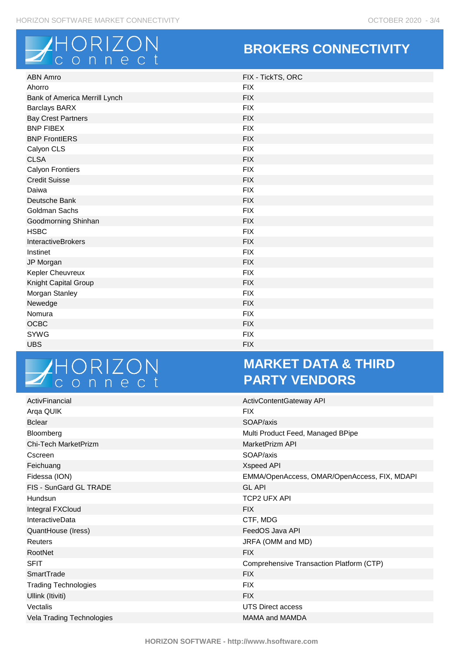

### **BROKERS CONNECTIVITY**

| <b>ABN Amro</b>               | FIX - TickTS, ORC |
|-------------------------------|-------------------|
| Ahorro                        | <b>FIX</b>        |
| Bank of America Merrill Lynch | <b>FIX</b>        |
| <b>Barclays BARX</b>          | <b>FIX</b>        |
| <b>Bay Crest Partners</b>     | <b>FIX</b>        |
| <b>BNP FIBEX</b>              | <b>FIX</b>        |
| <b>BNP FrontIERS</b>          | <b>FIX</b>        |
| Calyon CLS                    | <b>FIX</b>        |
| <b>CLSA</b>                   | <b>FIX</b>        |
| Calyon Frontiers              | <b>FIX</b>        |
| <b>Credit Suisse</b>          | <b>FIX</b>        |
| Daiwa                         | <b>FIX</b>        |
| Deutsche Bank                 | <b>FIX</b>        |
| Goldman Sachs                 | <b>FIX</b>        |
| Goodmorning Shinhan           | <b>FIX</b>        |
| <b>HSBC</b>                   | <b>FIX</b>        |
| <b>InteractiveBrokers</b>     | <b>FIX</b>        |
| Instinet                      | <b>FIX</b>        |
| JP Morgan                     | <b>FIX</b>        |
| Kepler Cheuvreux              | <b>FIX</b>        |
| Knight Capital Group          | <b>FIX</b>        |
| Morgan Stanley                | <b>FIX</b>        |
| Newedge                       | <b>FIX</b>        |
| Nomura                        | <b>FIX</b>        |
| OCBC                          | <b>FIX</b>        |
| <b>SYWG</b>                   | <b>FIX</b>        |
| <b>UBS</b>                    | <b>FIX</b>        |

# HORIZON<br>Connect

#### **MARKET DATA & THIRD PARTY VENDORS**

| ActivFinancial                | ActivContentGateway API                      |
|-------------------------------|----------------------------------------------|
| Arqa QUIK                     | <b>FIX</b>                                   |
| <b>B</b> clear                | SOAP/axis                                    |
| Bloomberg                     | Multi Product Feed, Managed BPipe            |
| Chi-Tech MarketPrizm          | MarketPrizm API                              |
| Cscreen                       | SOAP/axis                                    |
| Feichuang                     | <b>Xspeed API</b>                            |
| Fidessa (ION)                 | EMMA/OpenAccess, OMAR/OpenAccess, FIX, MDAPI |
| <b>FIS - SunGard GL TRADE</b> | <b>GL API</b>                                |
| Hundsun                       | TCP2 UFX API                                 |
| Integral FXCloud              | <b>FIX</b>                                   |
| <b>InteractiveData</b>        | CTF, MDG                                     |
| QuantHouse (Iress)            | FeedOS Java API                              |
| Reuters                       | JRFA (OMM and MD)                            |
| RootNet                       | <b>FIX</b>                                   |
| <b>SFIT</b>                   | Comprehensive Transaction Platform (CTP)     |
| SmartTrade                    | <b>FIX</b>                                   |
| <b>Trading Technologies</b>   | <b>FIX</b>                                   |
| Ullink (Itiviti)              | <b>FIX</b>                                   |
| Vectalis                      | <b>UTS Direct access</b>                     |
| Vela Trading Technologies     | MAMA and MAMDA                               |